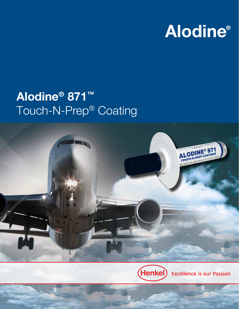# **Alodine®**

## Alodine® 871™ Touch-N-Prep® Coating



(Henkel) **Excellence is our Passion**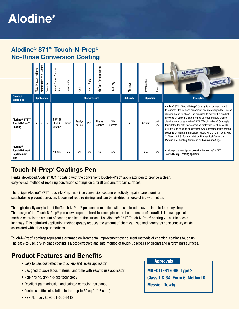## **Alodine®**

## Alodine® 871™ Touch-N-Prep® No-Rinse Conversion Coating

|                                                                                                                                                                                                                                                                                                                                                                                                                                                                                                                                                                                                                                                                                                                                                                                                                                                                                     | Metal Processing Lines                                                                                                                                                                     | Aircraft Depaint & Repaint | Coolants                                                                                                                                                                           | Henkel Product Number<br>Case | Consistency | Form             | How to Apply | Mix Ratio (product:water) | Chemistry      | Aluminum                                                                             | Temperature      | Time         | <b>ALODINE® 8</b><br>ALODINE <sup>®</sup> 87                                                                                                                                                                                                                                                                                                                                                                                                                                                                                                                                                                                                                                 |
|-------------------------------------------------------------------------------------------------------------------------------------------------------------------------------------------------------------------------------------------------------------------------------------------------------------------------------------------------------------------------------------------------------------------------------------------------------------------------------------------------------------------------------------------------------------------------------------------------------------------------------------------------------------------------------------------------------------------------------------------------------------------------------------------------------------------------------------------------------------------------------------|--------------------------------------------------------------------------------------------------------------------------------------------------------------------------------------------|----------------------------|------------------------------------------------------------------------------------------------------------------------------------------------------------------------------------|-------------------------------|-------------|------------------|--------------|---------------------------|----------------|--------------------------------------------------------------------------------------|------------------|--------------|------------------------------------------------------------------------------------------------------------------------------------------------------------------------------------------------------------------------------------------------------------------------------------------------------------------------------------------------------------------------------------------------------------------------------------------------------------------------------------------------------------------------------------------------------------------------------------------------------------------------------------------------------------------------------|
| <b>Chemical</b><br><b>Specialties</b>                                                                                                                                                                                                                                                                                                                                                                                                                                                                                                                                                                                                                                                                                                                                                                                                                                               | <b>Application</b>                                                                                                                                                                         |                            |                                                                                                                                                                                    | <b>Characteristics</b>        |             |                  |              |                           |                | <b>Substrate</b>                                                                     | <b>Operation</b> |              | <b>Description</b>                                                                                                                                                                                                                                                                                                                                                                                                                                                                                                                                                                                                                                                           |
| Alodine <sup>®</sup> 871™<br>Touch-N-Prep <sup>®</sup><br>Coating                                                                                                                                                                                                                                                                                                                                                                                                                                                                                                                                                                                                                                                                                                                                                                                                                   |                                                                                                                                                                                            |                            | $\bullet$                                                                                                                                                                          | 887197<br>(EMEA:<br>446362)   | Liquid      | Ready-<br>to-Use | Pen          | Use as<br>Received        | Tri-<br>Chrome |                                                                                      | Ambient          | Until<br>Dry | Alodine <sup>®</sup> 871 <sup>™</sup> Touch-N-Prep <sup>®</sup> Coating is a non-hexavalent,<br>tri-chrome, dry-in-place conversion coating designed for use on<br>aluminum and its alloys. The pen used to deliver this product<br>provides an easy and safe method of repairing bare areas of<br>aluminum surfaces. Alodine® 871™ Touch-N-Prep® Coating is<br>formulated for both bare corrosion protection, such as ASTM<br>921-02, and bonding applications when combined with organic<br>coatings or structural adhesives. Meets MIL-DTL-81706B, Type<br>2, Class 1A & 3, Form VI, Method D, Chemical Conversion<br>Materials for Coating Aluminum and Aluminum Alloys. |
| <b>Alodine®</b><br>Touch-N-Prep <sup>®</sup><br>Replacement<br><b>Tips</b>                                                                                                                                                                                                                                                                                                                                                                                                                                                                                                                                                                                                                                                                                                                                                                                                          |                                                                                                                                                                                            |                            |                                                                                                                                                                                    | 598819                        | n/a         | n/a              | n/a          | n/a                       | n/a            |                                                                                      | n/a              | n/a          | A felt replacement tip for use with the Alodine <sup>®</sup> 871 <sup>™</sup><br>Touch-N-Prep® coating applicator.                                                                                                                                                                                                                                                                                                                                                                                                                                                                                                                                                           |
| easy-to-use method of repairing conversion coatings on aircraft and aircraft part surfaces.<br>The unique Alodine® 871™ Touch-N-Prep® no-rinse conversion coating effectively repairs bare aluminum<br>substrates to prevent corrosion. It does not require rinsing, and can be air-dried or force-dried with hot air.<br>The high-density acrylic tip of the Touch-N-Prep® pen can be modified with a single-edge razor blade to form any shape.<br>The design of the Touch-N-Prep® pen allows repair of hard-to-reach places or the underside of aircraft. This new application<br>method controls the amount of coating applied to the surface. Use Alodine® 871™ Touch-N-Prep® sparingly – a little goes a<br>long way. This optimized application method greatly reduces the amount of chemical used and generates no secondary waste<br>associated with other repair methods. |                                                                                                                                                                                            |                            |                                                                                                                                                                                    |                               |             |                  |              |                           |                |                                                                                      |                  |              |                                                                                                                                                                                                                                                                                                                                                                                                                                                                                                                                                                                                                                                                              |
| Touch-N-Prep® coatings represent a dramatic environmental improvement over current methods of chemical coatings touch up.<br>The easy-to-use, dry-in-place coating is a cost-effective and safe method of touch-up repairs of aircraft and aircraft part surfaces.                                                                                                                                                                                                                                                                                                                                                                                                                                                                                                                                                                                                                  |                                                                                                                                                                                            |                            |                                                                                                                                                                                    |                               |             |                  |              |                           |                |                                                                                      |                  |              |                                                                                                                                                                                                                                                                                                                                                                                                                                                                                                                                                                                                                                                                              |
| <b>Product Features and Benefits</b>                                                                                                                                                                                                                                                                                                                                                                                                                                                                                                                                                                                                                                                                                                                                                                                                                                                |                                                                                                                                                                                            |                            | • Easy to use, cost effective touch-up and repair applicator<br>• Designed to save labor, material, and time with easy to use applicator<br>• Non-rinsing, dry-in-place technology |                               |             |                  |              |                           |                | <b>Approvals</b><br><b>MIL-DTL-81706B, Type 2,</b><br>Class 1 & 3A, Form 6, Method D |                  |              |                                                                                                                                                                                                                                                                                                                                                                                                                                                                                                                                                                                                                                                                              |
|                                                                                                                                                                                                                                                                                                                                                                                                                                                                                                                                                                                                                                                                                                                                                                                                                                                                                     | • Excellent paint adhesion and painted corrosion resistance<br><b>Messier-Dowty</b><br>• Contains sufficient solution to treat up to 50 sq ft (4.6 sq m)<br>• NSN Number: 8030-01-560-9113 |                            |                                                                                                                                                                                    |                               |             |                  |              |                           |                |                                                                                      |                  |              |                                                                                                                                                                                                                                                                                                                                                                                                                                                                                                                                                                                                                                                                              |

### Touch-N-Prep® Coatings Pen

### Product Features and Benefits

- Easy to use, cost effective touch-up and repair applicator
- Designed to save labor, material, and time with easy to use applicator
- Non-rinsing, dry-in-place technology
- Excellent paint adhesion and painted corrosion resistance
- Contains sufficient solution to treat up to 50 sq ft (4.6 sq m)

#### **Approvals**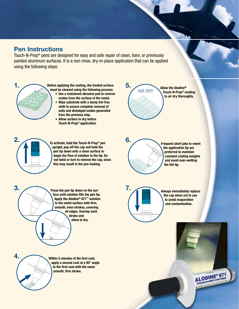## Pen Instructions

Touch-N-Prep® pens are designed for easy and safe repair of clean, bare, or previously painted aluminum surfaces. It is a non-rinse, dry-in-place application that can be applied using the following steps:



Before applying the coating, the treated surface must be cleaned using the following process:

- Use a moistened abrasive pad to remove oxides from the surface of the metal.
- Wipe substrate with a damp lint-free cloth to ensure complete removal of soils and dislodged oxides generated from the previous step.
- Allow surface to dry before Touch-N-Prep® application.



3.

upright, pop off the cap and hold the pen tip down onto a clean surface to begin the flow of solution to the tip. Do not twist or turn to remove the cap, since this may result in the pen leaking.



5.

Frequent short jabs to rewet the application tip are preferred to maintain constant coating weights and avoid over-wetting the felt tip.

Allow the Alodine®

Press the pen tip down on the surface until solution fills the pen tip. Apply the Alodine® 871™ solution to the metal surface with firm, smooth, even strokes, covering all edges. Overlap each stroke and allow to dry.



Always immediately replace the cap when not in use to avoid evaporation and contamination.

> ALODINE<sup>®</sup> 871 **ALODINE** COATINGS



Within 5 minutes of the first coat, apply a second coat at a 90° angle to the first coat with the same smooth, firm stroke.